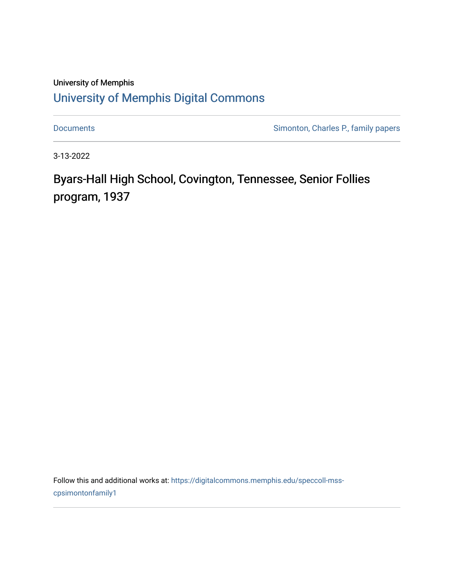# University of Memphis [University of Memphis Digital Commons](https://digitalcommons.memphis.edu/)

[Documents](https://digitalcommons.memphis.edu/speccoll-mss-cpsimontonfamily1) **Simonton, Charles P., family papers** 

3-13-2022

Byars-Hall High School, Covington, Tennessee, Senior Follies program, 1937

Follow this and additional works at: [https://digitalcommons.memphis.edu/speccoll-mss](https://digitalcommons.memphis.edu/speccoll-mss-cpsimontonfamily1?utm_source=digitalcommons.memphis.edu%2Fspeccoll-mss-cpsimontonfamily1%2F21&utm_medium=PDF&utm_campaign=PDFCoverPages)[cpsimontonfamily1](https://digitalcommons.memphis.edu/speccoll-mss-cpsimontonfamily1?utm_source=digitalcommons.memphis.edu%2Fspeccoll-mss-cpsimontonfamily1%2F21&utm_medium=PDF&utm_campaign=PDFCoverPages)